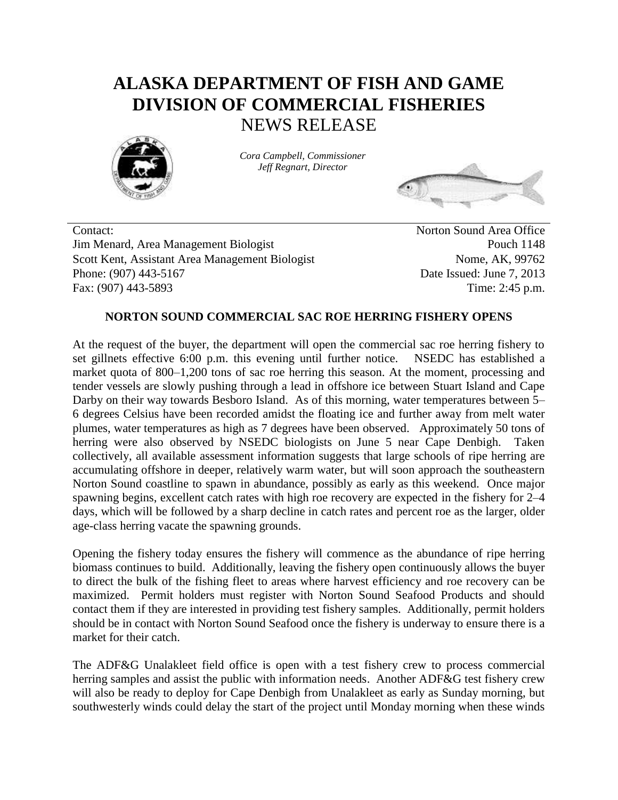## **ALASKA DEPARTMENT OF FISH AND GAME DIVISION OF COMMERCIAL FISHERIES** NEWS RELEASE



*Cora Campbell, Commissioner Jeff Regnart, Director*



Contact: Norton Sound Area Office Jim Menard, Area Management Biologist Pouch 1148 Scott Kent, Assistant Area Management Biologist Nome, AK, 99762 Phone: (907) 443-5167 Date Issued: June 7, 2013 Fax: (907) 443-5893 Time: 2:45 p.m.

## **NORTON SOUND COMMERCIAL SAC ROE HERRING FISHERY OPENS**

At the request of the buyer, the department will open the commercial sac roe herring fishery to set gillnets effective 6:00 p.m. this evening until further notice. NSEDC has established a market quota of 800–1,200 tons of sac roe herring this season. At the moment, processing and tender vessels are slowly pushing through a lead in offshore ice between Stuart Island and Cape Darby on their way towards Besboro Island. As of this morning, water temperatures between 5– 6 degrees Celsius have been recorded amidst the floating ice and further away from melt water plumes, water temperatures as high as 7 degrees have been observed. Approximately 50 tons of herring were also observed by NSEDC biologists on June 5 near Cape Denbigh. Taken collectively, all available assessment information suggests that large schools of ripe herring are accumulating offshore in deeper, relatively warm water, but will soon approach the southeastern Norton Sound coastline to spawn in abundance, possibly as early as this weekend. Once major spawning begins, excellent catch rates with high roe recovery are expected in the fishery for 2–4 days, which will be followed by a sharp decline in catch rates and percent roe as the larger, older age-class herring vacate the spawning grounds.

Opening the fishery today ensures the fishery will commence as the abundance of ripe herring biomass continues to build. Additionally, leaving the fishery open continuously allows the buyer to direct the bulk of the fishing fleet to areas where harvest efficiency and roe recovery can be maximized. Permit holders must register with Norton Sound Seafood Products and should contact them if they are interested in providing test fishery samples. Additionally, permit holders should be in contact with Norton Sound Seafood once the fishery is underway to ensure there is a market for their catch.

The ADF&G Unalakleet field office is open with a test fishery crew to process commercial herring samples and assist the public with information needs. Another ADF&G test fishery crew will also be ready to deploy for Cape Denbigh from Unalakleet as early as Sunday morning, but southwesterly winds could delay the start of the project until Monday morning when these winds